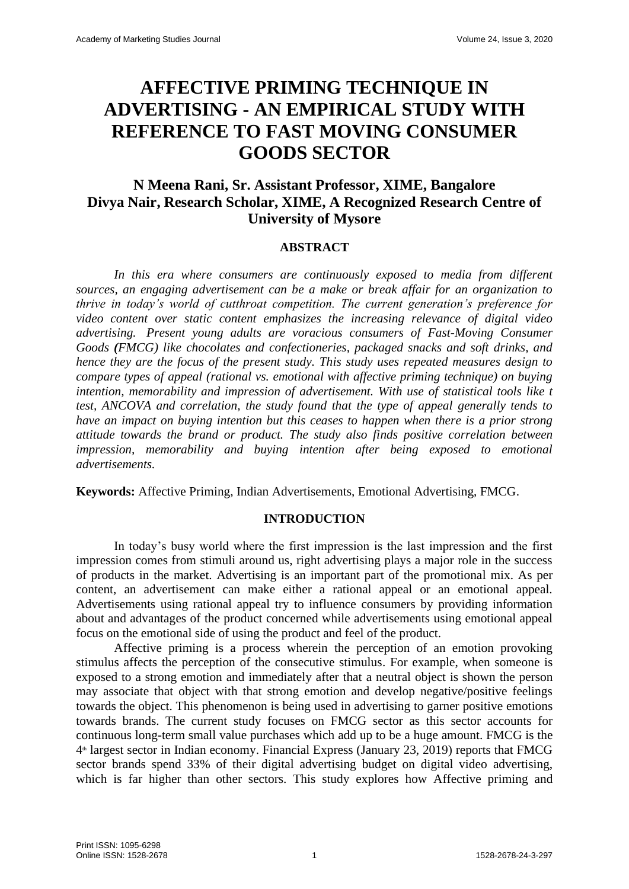# **AFFECTIVE PRIMING TECHNIQUE IN ADVERTISING - AN EMPIRICAL STUDY WITH REFERENCE TO FAST MOVING CONSUMER GOODS SECTOR**

## **N Meena Rani, Sr. Assistant Professor, XIME, Bangalore Divya Nair, Research Scholar, XIME, A Recognized Research Centre of University of Mysore**

### **ABSTRACT**

*In this era where consumers are continuously exposed to media from different sources, an engaging advertisement can be a make or break affair for an organization to thrive in today's world of cutthroat competition. The current generation's preference for video content over static content emphasizes the increasing relevance of digital video advertising. Present young adults are voracious consumers of Fast-Moving Consumer Goods (FMCG) like chocolates and confectioneries, packaged snacks and soft drinks, and hence they are the focus of the present study. This study uses repeated measures design to compare types of appeal (rational vs. emotional with affective priming technique) on buying intention, memorability and impression of advertisement. With use of statistical tools like t test, ANCOVA and correlation, the study found that the type of appeal generally tends to have an impact on buying intention but this ceases to happen when there is a prior strong attitude towards the brand or product. The study also finds positive correlation between impression, memorability and buying intention after being exposed to emotional advertisements.*

**Keywords:** Affective Priming, Indian Advertisements, Emotional Advertising, FMCG.

### **INTRODUCTION**

In today's busy world where the first impression is the last impression and the first impression comes from stimuli around us, right advertising plays a major role in the success of products in the market. Advertising is an important part of the promotional mix. As per content, an advertisement can make either a rational appeal or an emotional appeal. Advertisements using rational appeal try to influence consumers by providing information about and advantages of the product concerned while advertisements using emotional appeal focus on the emotional side of using the product and feel of the product.

Affective priming is a process wherein the perception of an emotion provoking stimulus affects the perception of the consecutive stimulus. For example, when someone is exposed to a strong emotion and immediately after that a neutral object is shown the person may associate that object with that strong emotion and develop negative/positive feelings towards the object. This phenomenon is being used in advertising to garner positive emotions towards brands. The current study focuses on FMCG sector as this sector accounts for continuous long-term small value purchases which add up to be a huge amount. FMCG is the 4 th largest sector in Indian economy. Financial Express (January 23, 2019) reports that FMCG sector brands spend 33% of their digital advertising budget on digital video advertising, which is far higher than other sectors. This study explores how Affective priming and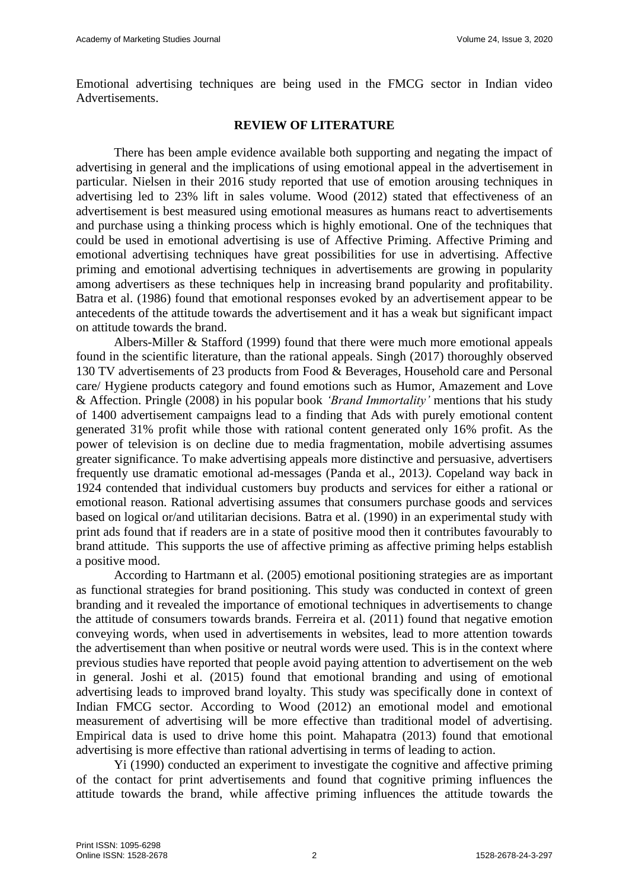Emotional advertising techniques are being used in the FMCG sector in Indian video Advertisements.

### **REVIEW OF LITERATURE**

There has been ample evidence available both supporting and negating the impact of advertising in general and the implications of using emotional appeal in the advertisement in particular. Nielsen in their 2016 study reported that use of emotion arousing techniques in advertising led to 23% lift in sales volume. Wood (2012) stated that effectiveness of an advertisement is best measured using emotional measures as humans react to advertisements and purchase using a thinking process which is highly emotional. One of the techniques that could be used in emotional advertising is use of Affective Priming. Affective Priming and emotional advertising techniques have great possibilities for use in advertising. Affective priming and emotional advertising techniques in advertisements are growing in popularity among advertisers as these techniques help in increasing brand popularity and profitability. Batra et al. (1986) found that emotional responses evoked by an advertisement appear to be antecedents of the attitude towards the advertisement and it has a weak but significant impact on attitude towards the brand.

Albers-Miller & Stafford (1999) found that there were much more emotional appeals found in the scientific literature, than the rational appeals. Singh (2017) thoroughly observed 130 TV advertisements of 23 products from Food & Beverages, Household care and Personal care/ Hygiene products category and found emotions such as Humor, Amazement and Love & Affection. Pringle (2008) in his popular book *'Brand Immortality'* mentions that his study of 1400 advertisement campaigns lead to a finding that Ads with purely emotional content generated 31% profit while those with rational content generated only 16% profit. As the power of television is on decline due to media fragmentation, mobile advertising assumes greater significance. To make advertising appeals more distinctive and persuasive, advertisers frequently use dramatic emotional ad-messages (Panda et al., 2013*)*. Copeland way back in 1924 contended that individual customers buy products and services for either a rational or emotional reason. Rational advertising assumes that consumers purchase goods and services based on logical or/and utilitarian decisions. Batra et al. (1990) in an experimental study with print ads found that if readers are in a state of positive mood then it contributes favourably to brand attitude. This supports the use of affective priming as affective priming helps establish a positive mood.

According to Hartmann et al. (2005) emotional positioning strategies are as important as functional strategies for brand positioning. This study was conducted in context of green branding and it revealed the importance of emotional techniques in advertisements to change the attitude of consumers towards brands. Ferreira et al. (2011) found that negative emotion conveying words, when used in advertisements in websites, lead to more attention towards the advertisement than when positive or neutral words were used. This is in the context where previous studies have reported that people avoid paying attention to advertisement on the web in general. Joshi et al. (2015) found that emotional branding and using of emotional advertising leads to improved brand loyalty. This study was specifically done in context of Indian FMCG sector. According to Wood (2012) an emotional model and emotional measurement of advertising will be more effective than traditional model of advertising. Empirical data is used to drive home this point. Mahapatra (2013) found that emotional advertising is more effective than rational advertising in terms of leading to action.

Yi (1990) conducted an experiment to investigate the cognitive and affective priming of the contact for print advertisements and found that cognitive priming influences the attitude towards the brand, while affective priming influences the attitude towards the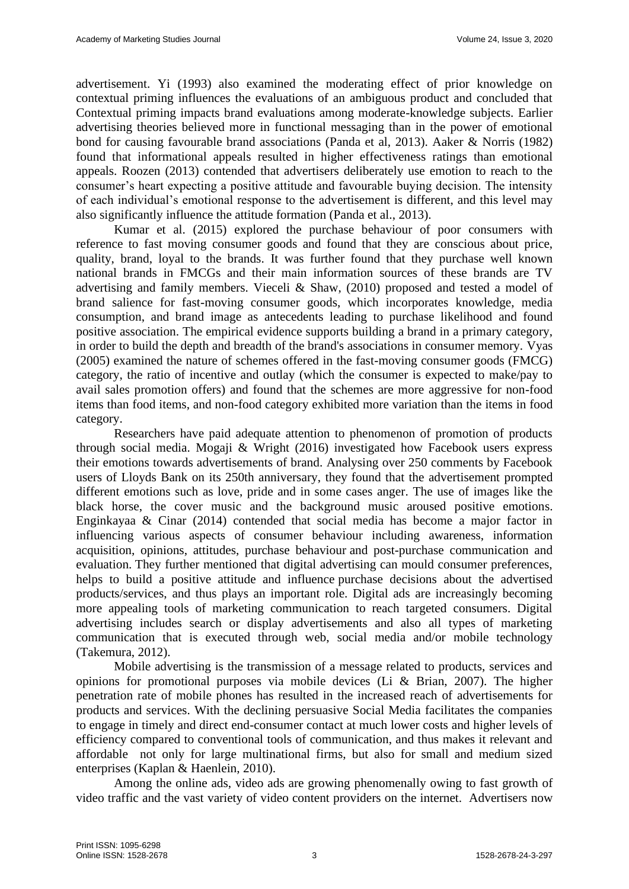advertisement. Yi (1993) also examined the moderating effect of prior knowledge on contextual priming influences the evaluations of an ambiguous product and concluded that Contextual priming impacts brand evaluations among moderate-knowledge subjects. Earlier advertising theories believed more in functional messaging than in the power of emotional bond for causing favourable brand associations (Panda et al, 2013). Aaker & Norris (1982) found that informational appeals resulted in higher effectiveness ratings than emotional appeals. Roozen (2013) contended that advertisers deliberately use emotion to reach to the consumer's heart expecting a positive attitude and favourable buying decision. The intensity of each individual's emotional response to the advertisement is different, and this level may also significantly influence the attitude formation (Panda et al., 2013).

Kumar et al. (2015) explored the purchase behaviour of poor consumers with reference to fast moving consumer goods and found that they are conscious about price, quality, brand, loyal to the brands. It was further found that they purchase well known national brands in FMCGs and their main information sources of these brands are TV advertising and family members. Vieceli & Shaw, (2010) proposed and tested a model of brand salience for fast-moving consumer goods, which incorporates knowledge, media consumption, and brand image as antecedents leading to purchase likelihood and found positive association. The empirical evidence supports building a brand in a primary category, in order to build the depth and breadth of the brand's associations in consumer memory. Vyas (2005) examined the nature of schemes offered in the fast-moving consumer goods (FMCG) category, the ratio of incentive and outlay (which the consumer is expected to make/pay to avail sales promotion offers) and found that the schemes are more aggressive for non-food items than food items, and non-food category exhibited more variation than the items in food category.

Researchers have paid adequate attention to phenomenon of promotion of products through social media. Mogaji & Wright (2016) investigated how Facebook users express their emotions towards advertisements of brand. Analysing over 250 comments by Facebook users of Lloyds Bank on its 250th anniversary, they found that the advertisement prompted different emotions such as love, pride and in some cases anger. The use of images like the black horse, the cover music and the background music aroused positive emotions. Enginkayaa & Cinar (2014) contended that social media has become a major factor in influencing various aspects of consumer behaviour including awareness, information acquisition, opinions, attitudes, purchase behaviour and post-purchase communication and evaluation. They further mentioned that digital advertising can mould consumer preferences, helps to build a positive attitude and influence purchase decisions about the advertised products/services, and thus plays an important role. Digital ads are increasingly becoming more appealing tools of marketing communication to reach targeted consumers. Digital advertising includes search or display advertisements and also all types of marketing communication that is executed through web, social media and/or mobile technology (Takemura, 2012).

Mobile advertising is the transmission of a message related to products, services and opinions for promotional purposes via mobile devices (Li & Brian, 2007). The higher penetration rate of mobile phones has resulted in the increased reach of advertisements for products and services. With the declining persuasive Social Media facilitates the companies to engage in timely and direct end-consumer contact at much lower costs and higher levels of efficiency compared to conventional tools of communication, and thus makes it relevant and affordable not only for large multinational firms, but also for small and medium sized enterprises (Kaplan & Haenlein, 2010).

Among the online ads, video ads are growing phenomenally owing to fast growth of video traffic and the vast variety of video content providers on the internet. Advertisers now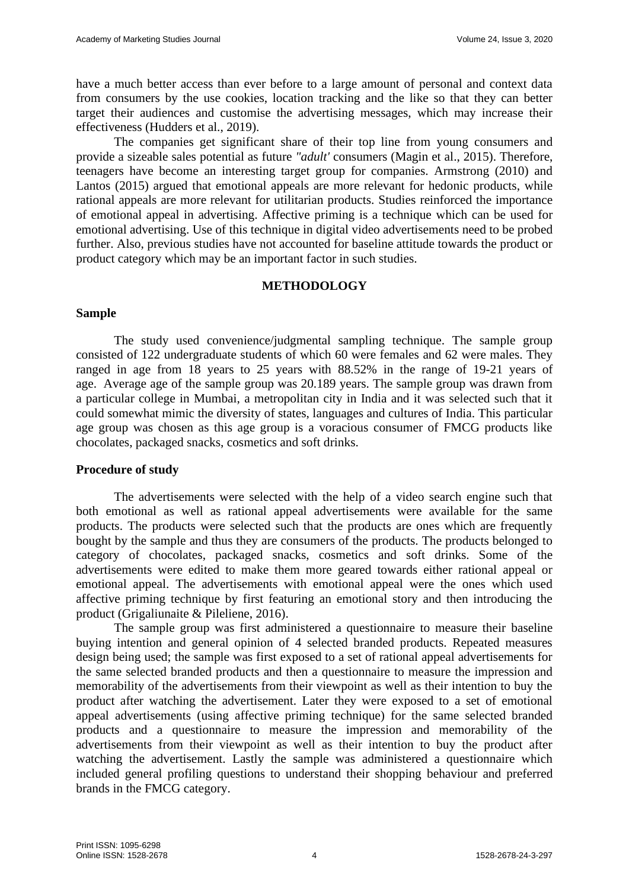have a much better access than ever before to a large amount of personal and context data from consumers by the use cookies, location tracking and the like so that they can better target their audiences and customise the advertising messages, which may increase their effectiveness (Hudders et al., 2019).

The companies get significant share of their top line from young consumers and provide a sizeable sales potential as future *"adult'* consumers (Magin et al., 2015). Therefore, teenagers have become an interesting target group for companies. Armstrong (2010) and Lantos (2015) argued that emotional appeals are more relevant for hedonic products, while rational appeals are more relevant for utilitarian products. Studies reinforced the importance of emotional appeal in advertising. Affective priming is a technique which can be used for emotional advertising. Use of this technique in digital video advertisements need to be probed further. Also, previous studies have not accounted for baseline attitude towards the product or product category which may be an important factor in such studies.

### **METHODOLOGY**

### **Sample**

The study used convenience/judgmental sampling technique. The sample group consisted of 122 undergraduate students of which 60 were females and 62 were males. They ranged in age from 18 years to 25 years with 88.52% in the range of 19-21 years of age. Average age of the sample group was 20.189 years. The sample group was drawn from a particular college in Mumbai, a metropolitan city in India and it was selected such that it could somewhat mimic the diversity of states, languages and cultures of India. This particular age group was chosen as this age group is a voracious consumer of FMCG products like chocolates, packaged snacks, cosmetics and soft drinks.

### **Procedure of study**

The advertisements were selected with the help of a video search engine such that both emotional as well as rational appeal advertisements were available for the same products. The products were selected such that the products are ones which are frequently bought by the sample and thus they are consumers of the products. The products belonged to category of chocolates, packaged snacks, cosmetics and soft drinks. Some of the advertisements were edited to make them more geared towards either rational appeal or emotional appeal. The advertisements with emotional appeal were the ones which used affective priming technique by first featuring an emotional story and then introducing the product (Grigaliunaite & Pileliene, 2016).

The sample group was first administered a questionnaire to measure their baseline buying intention and general opinion of 4 selected branded products. Repeated measures design being used; the sample was first exposed to a set of rational appeal advertisements for the same selected branded products and then a questionnaire to measure the impression and memorability of the advertisements from their viewpoint as well as their intention to buy the product after watching the advertisement. Later they were exposed to a set of emotional appeal advertisements (using affective priming technique) for the same selected branded products and a questionnaire to measure the impression and memorability of the advertisements from their viewpoint as well as their intention to buy the product after watching the advertisement. Lastly the sample was administered a questionnaire which included general profiling questions to understand their shopping behaviour and preferred brands in the FMCG category.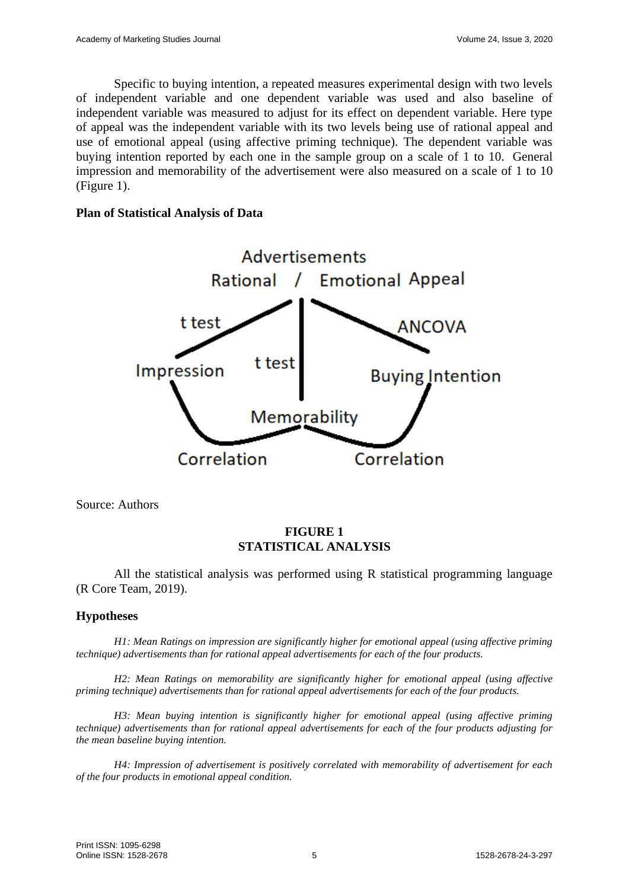Specific to buying intention, a repeated measures experimental design with two levels of independent variable and one dependent variable was used and also baseline of independent variable was measured to adjust for its effect on dependent variable. Here type of appeal was the independent variable with its two levels being use of rational appeal and use of emotional appeal (using affective priming technique). The dependent variable was buying intention reported by each one in the sample group on a scale of 1 to 10. General impression and memorability of the advertisement were also measured on a scale of 1 to 10 (Figure 1).

### **Plan of Statistical Analysis of Data**



Source: Authors

### **FIGURE 1 STATISTICAL ANALYSIS**

All the statistical analysis was performed using R statistical programming language (R Core Team, 2019).

### **Hypotheses**

*H1: Mean Ratings on impression are significantly higher for emotional appeal (using affective priming technique) advertisements than for rational appeal advertisements for each of the four products.*

*H2: Mean Ratings on memorability are significantly higher for emotional appeal (using affective priming technique) advertisements than for rational appeal advertisements for each of the four products.*

*H3: Mean buying intention is significantly higher for emotional appeal (using affective priming technique) advertisements than for rational appeal advertisements for each of the four products adjusting for the mean baseline buying intention.*

*H4: Impression of advertisement is positively correlated with memorability of advertisement for each of the four products in emotional appeal condition.*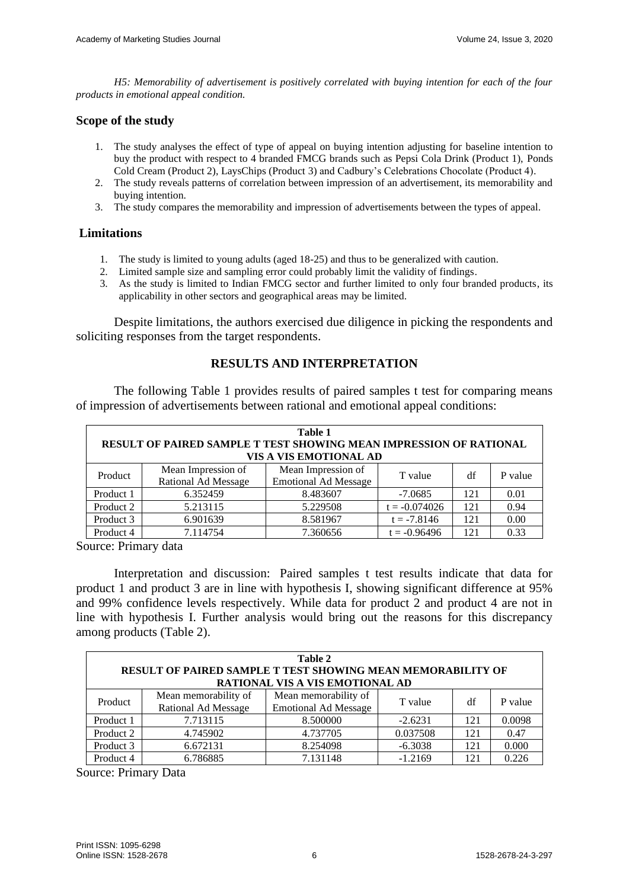*H5: Memorability of advertisement is positively correlated with buying intention for each of the four products in emotional appeal condition.*

### **Scope of the study**

- 1. The study analyses the effect of type of appeal on buying intention adjusting for baseline intention to buy the product with respect to 4 branded FMCG brands such as Pepsi Cola Drink (Product 1), Ponds Cold Cream (Product 2), LaysChips (Product 3) and Cadbury's Celebrations Chocolate (Product 4).
- 2. The study reveals patterns of correlation between impression of an advertisement, its memorability and buying intention.
- 3. The study compares the memorability and impression of advertisements between the types of appeal.

### **Limitations**

- 1. The study is limited to young adults (aged 18-25) and thus to be generalized with caution.
- 2. Limited sample size and sampling error could probably limit the validity of findings.
- 3. As the study is limited to Indian FMCG sector and further limited to only four branded products, its applicability in other sectors and geographical areas may be limited.

Despite limitations, the authors exercised due diligence in picking the respondents and soliciting responses from the target respondents.

### **RESULTS AND INTERPRETATION**

The following Table 1 provides results of paired samples t test for comparing means of impression of advertisements between rational and emotional appeal conditions:

| Table 1<br>RESULT OF PAIRED SAMPLE T TEST SHOWING MEAN IMPRESSION OF RATIONAL<br>VIS A VIS EMOTIONAL AD |                                           |                                                   |                 |     |         |  |  |  |
|---------------------------------------------------------------------------------------------------------|-------------------------------------------|---------------------------------------------------|-----------------|-----|---------|--|--|--|
| Product                                                                                                 | Mean Impression of<br>Rational Ad Message | Mean Impression of<br><b>Emotional Ad Message</b> | T value         | df  | P value |  |  |  |
| Product 1                                                                                               | 6.352459                                  | 8.483607                                          | $-7.0685$       | 121 | 0.01    |  |  |  |
| Product 2                                                                                               | 5.213115                                  | 5.229508                                          | $t = -0.074026$ | 121 | 0.94    |  |  |  |
| Product 3                                                                                               | 6.901639                                  | 8.581967                                          | $t = -7.8146$   | 121 | 0.00    |  |  |  |
| Product 4                                                                                               | 7.114754                                  | 7.360656                                          | $t = -0.96496$  | 121 | 0.33    |  |  |  |

Source: Primary data

Interpretation and discussion: Paired samples t test results indicate that data for product 1 and product 3 are in line with hypothesis I, showing significant difference at 95% and 99% confidence levels respectively. While data for product 2 and product 4 are not in line with hypothesis I. Further analysis would bring out the reasons for this discrepancy among products (Table 2).

| Table 2<br><b>RESULT OF PAIRED SAMPLE T TEST SHOWING MEAN MEMORABILITY OF</b><br><b>RATIONAL VIS A VIS EMOTIONAL AD</b> |                                             |                                                     |           |     |         |  |  |  |
|-------------------------------------------------------------------------------------------------------------------------|---------------------------------------------|-----------------------------------------------------|-----------|-----|---------|--|--|--|
| Product                                                                                                                 | Mean memorability of<br>Rational Ad Message | Mean memorability of<br><b>Emotional Ad Message</b> | T value   | df  | P value |  |  |  |
| Product 1                                                                                                               | 7.713115                                    | 8.500000                                            | $-2.6231$ | 121 | 0.0098  |  |  |  |
| Product 2                                                                                                               | 4.745902                                    | 4.737705                                            | 0.037508  | 121 | 0.47    |  |  |  |
| Product 3                                                                                                               | 6.672131                                    | 8.254098                                            | $-6.3038$ | 121 | 0.000   |  |  |  |
| Product 4                                                                                                               | 6.786885                                    | 7.131148                                            | $-1.2169$ | 121 | 0.226   |  |  |  |

Source: Primary Data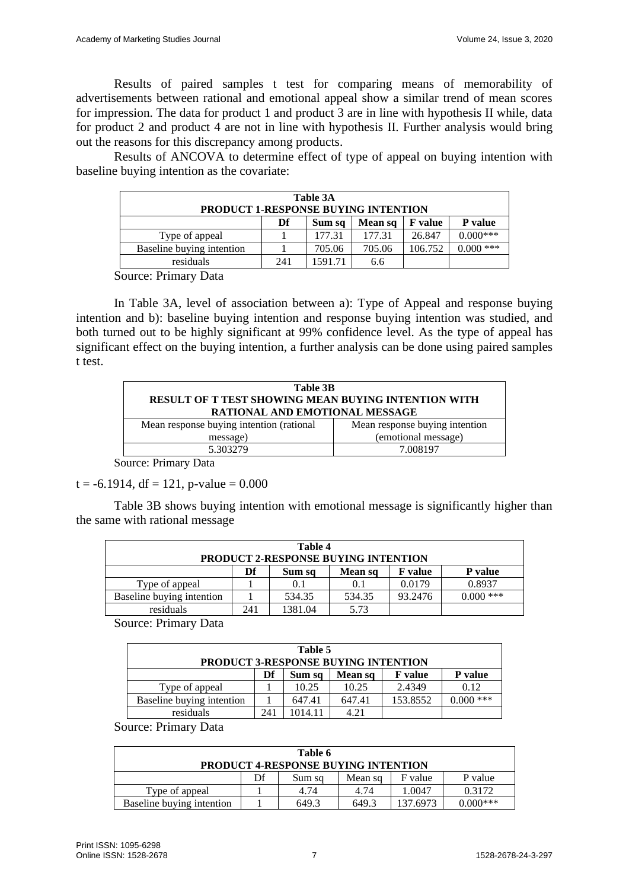Results of paired samples t test for comparing means of memorability of advertisements between rational and emotional appeal show a similar trend of mean scores for impression. The data for product 1 and product 3 are in line with hypothesis II while, data for product 2 and product 4 are not in line with hypothesis II. Further analysis would bring out the reasons for this discrepancy among products.

Results of ANCOVA to determine effect of type of appeal on buying intention with baseline buying intention as the covariate:

| Table 3A<br><b>PRODUCT 1-RESPONSE BUYING INTENTION</b> |     |         |        |         |             |  |  |  |
|--------------------------------------------------------|-----|---------|--------|---------|-------------|--|--|--|
| Df<br>P value<br><b>F</b> value<br>Mean sq<br>Sum sq   |     |         |        |         |             |  |  |  |
| Type of appeal                                         |     | 177.31  | 177.31 | 26.847  | $0.000$ *** |  |  |  |
| Baseline buying intention                              |     | 705.06  | 705.06 | 106.752 | $0.000$ *** |  |  |  |
| residuals                                              | 241 | 1591.71 | 6.6    |         |             |  |  |  |

Source: Primary Data

In Table 3A, level of association between a): Type of Appeal and response buying intention and b): baseline buying intention and response buying intention was studied, and both turned out to be highly significant at 99% confidence level. As the type of appeal has significant effect on the buying intention, a further analysis can be done using paired samples t test.

| Table 3B<br><b>RESULT OF T TEST SHOWING MEAN BUYING INTENTION WITH</b><br>RATIONAL AND EMOTIONAL MESSAGE |                                |  |  |  |  |  |
|----------------------------------------------------------------------------------------------------------|--------------------------------|--|--|--|--|--|
| Mean response buying intention (rational                                                                 | Mean response buying intention |  |  |  |  |  |
| message)                                                                                                 | (emotional message)            |  |  |  |  |  |
| 5.303279<br>7.008197                                                                                     |                                |  |  |  |  |  |

Source: Primary Data

 $t = -6.1914$ , df = 121, p-value = 0.000

Table 3B shows buying intention with emotional message is significantly higher than the same with rational message

| Table 4<br><b>PRODUCT 2-RESPONSE BUYING INTENTION</b> |  |        |        |         |             |  |  |
|-------------------------------------------------------|--|--------|--------|---------|-------------|--|--|
| Df<br>P value<br><b>F</b> value<br>Sum sq<br>Mean sq  |  |        |        |         |             |  |  |
| Type of appeal                                        |  | 0.1    | 0.1    | 0.0179  | 0.8937      |  |  |
| Baseline buying intention                             |  | 534.35 | 534.35 | 93.2476 | $0.000$ *** |  |  |
| 5.73<br>1381.04<br>residuals<br>241                   |  |        |        |         |             |  |  |

Source: Primary Data

| Table 5                                              |  |        |        |          |             |  |  |
|------------------------------------------------------|--|--------|--------|----------|-------------|--|--|
| <b>PRODUCT 3-RESPONSE BUYING INTENTION</b>           |  |        |        |          |             |  |  |
| Df<br>P value<br>Mean sq<br><b>F</b> value<br>Sum sq |  |        |        |          |             |  |  |
| Type of appeal                                       |  | 10.25  | 10.25  | 2.4349   | 0.12        |  |  |
| Baseline buying intention                            |  | 647.41 | 647.41 | 153.8552 | $0.000$ *** |  |  |
| 4.21<br>241<br>residuals<br>1014.11                  |  |        |        |          |             |  |  |

Source: Primary Data

| Table 6<br><b>PRODUCT 4-RESPONSE BUYING INTENTION</b> |  |       |       |          |            |  |  |
|-------------------------------------------------------|--|-------|-------|----------|------------|--|--|
| Df<br>F value<br>P value<br>Mean sq<br>Sum sq         |  |       |       |          |            |  |  |
| Type of appeal                                        |  | 4.74  | 4.74  | 1.0047   | 0.3172     |  |  |
| Baseline buying intention                             |  | 649.3 | 649.3 | 137.6973 | $0.000***$ |  |  |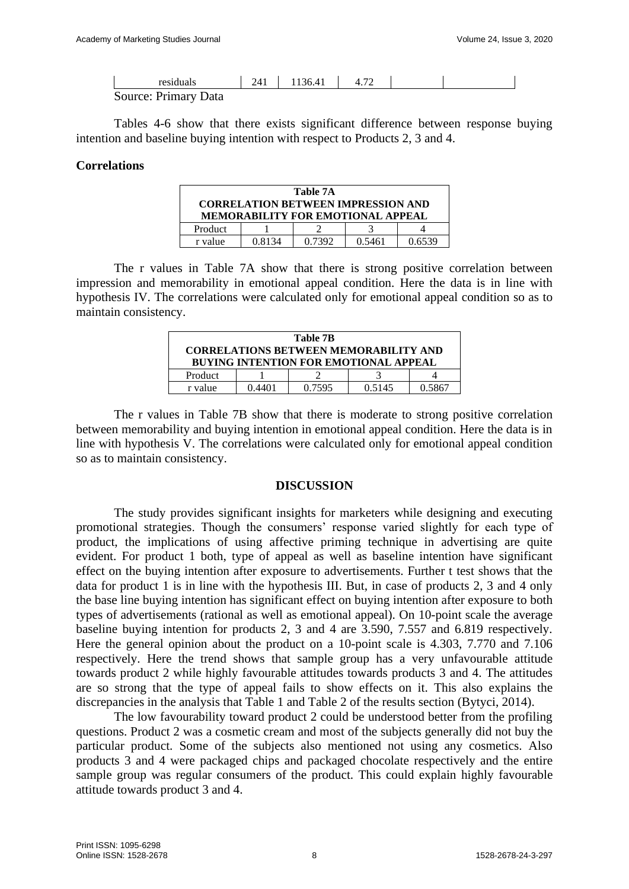| residuals            | 2 <sub>1</sub> 1 | 136.41 | $\mathcal{L}$ |  |
|----------------------|------------------|--------|---------------|--|
| Source: Primary Data |                  |        |               |  |

Tables 4-6 show that there exists significant difference between response buying intention and baseline buying intention with respect to Products 2, 3 and 4.

### **Correlations**

| Table 7A                                                                              |  |  |  |  |  |  |  |
|---------------------------------------------------------------------------------------|--|--|--|--|--|--|--|
| <b>CORRELATION BETWEEN IMPRESSION AND</b><br><b>MEMORABILITY FOR EMOTIONAL APPEAL</b> |  |  |  |  |  |  |  |
| Product                                                                               |  |  |  |  |  |  |  |
| 0.7392<br>0.8134<br>0.5461<br>0.6539<br>r value                                       |  |  |  |  |  |  |  |

The r values in Table 7A show that there is strong positive correlation between impression and memorability in emotional appeal condition. Here the data is in line with hypothesis IV. The correlations were calculated only for emotional appeal condition so as to maintain consistency.

| Table 7B                                           |  |  |  |  |  |  |
|----------------------------------------------------|--|--|--|--|--|--|
| <b>CORRELATIONS BETWEEN MEMORABILITY AND</b>       |  |  |  |  |  |  |
| <b>BUYING INTENTION FOR EMOTIONAL APPEAL</b>       |  |  |  |  |  |  |
| Product                                            |  |  |  |  |  |  |
| 0.5867<br>0.7595<br>0.5145<br>() 44() 1<br>r value |  |  |  |  |  |  |

The r values in Table 7B show that there is moderate to strong positive correlation between memorability and buying intention in emotional appeal condition. Here the data is in line with hypothesis V. The correlations were calculated only for emotional appeal condition so as to maintain consistency.

#### **DISCUSSION**

The study provides significant insights for marketers while designing and executing promotional strategies. Though the consumers' response varied slightly for each type of product, the implications of using affective priming technique in advertising are quite evident. For product 1 both, type of appeal as well as baseline intention have significant effect on the buying intention after exposure to advertisements. Further t test shows that the data for product 1 is in line with the hypothesis III. But, in case of products 2, 3 and 4 only the base line buying intention has significant effect on buying intention after exposure to both types of advertisements (rational as well as emotional appeal). On 10-point scale the average baseline buying intention for products 2, 3 and 4 are 3.590, 7.557 and 6.819 respectively. Here the general opinion about the product on a 10-point scale is 4.303, 7.770 and 7.106 respectively. Here the trend shows that sample group has a very unfavourable attitude towards product 2 while highly favourable attitudes towards products 3 and 4. The attitudes are so strong that the type of appeal fails to show effects on it. This also explains the discrepancies in the analysis that Table 1 and Table 2 of the results section (Bytyci, 2014).

The low favourability toward product 2 could be understood better from the profiling questions. Product 2 was a cosmetic cream and most of the subjects generally did not buy the particular product. Some of the subjects also mentioned not using any cosmetics. Also products 3 and 4 were packaged chips and packaged chocolate respectively and the entire sample group was regular consumers of the product. This could explain highly favourable attitude towards product 3 and 4.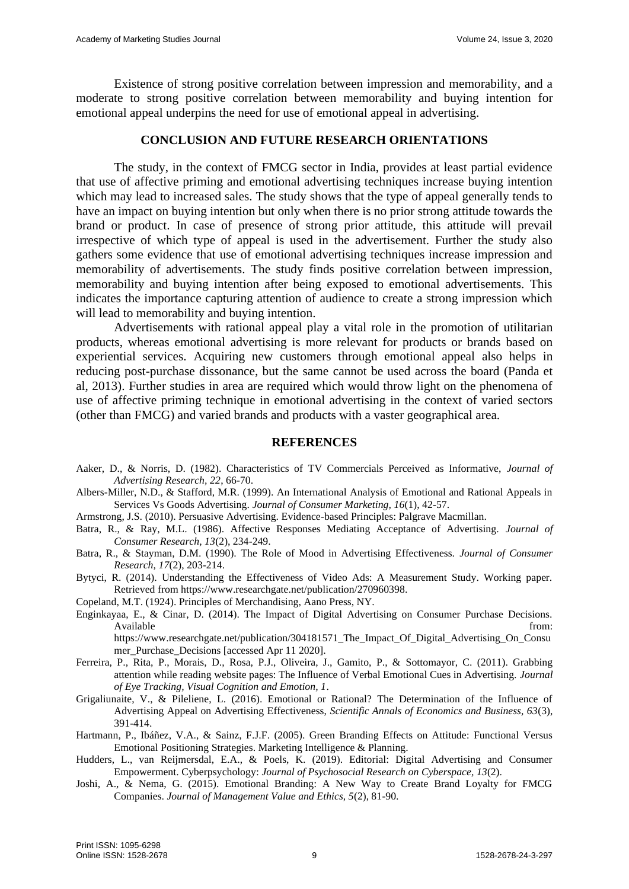Existence of strong positive correlation between impression and memorability, and a moderate to strong positive correlation between memorability and buying intention for emotional appeal underpins the need for use of emotional appeal in advertising.

### **CONCLUSION AND FUTURE RESEARCH ORIENTATIONS**

The study, in the context of FMCG sector in India, provides at least partial evidence that use of affective priming and emotional advertising techniques increase buying intention which may lead to increased sales. The study shows that the type of appeal generally tends to have an impact on buying intention but only when there is no prior strong attitude towards the brand or product. In case of presence of strong prior attitude, this attitude will prevail irrespective of which type of appeal is used in the advertisement. Further the study also gathers some evidence that use of emotional advertising techniques increase impression and memorability of advertisements. The study finds positive correlation between impression, memorability and buying intention after being exposed to emotional advertisements. This indicates the importance capturing attention of audience to create a strong impression which will lead to memorability and buying intention.

Advertisements with rational appeal play a vital role in the promotion of utilitarian products, whereas emotional advertising is more relevant for products or brands based on experiential services. Acquiring new customers through emotional appeal also helps in reducing post-purchase dissonance, but the same cannot be used across the board (Panda et al, 2013). Further studies in area are required which would throw light on the phenomena of use of affective priming technique in emotional advertising in the context of varied sectors (other than FMCG) and varied brands and products with a vaster geographical area.

#### **REFERENCES**

- Aaker, D., & Norris, D. (1982). Characteristics of TV Commercials Perceived as Informative, *Journal of Advertising Research, 22*, 66-70.
- Albers-Miller, N.D., & Stafford, M.R. (1999). An International Analysis of Emotional and Rational Appeals in Services Vs Goods Advertising. *Journal of Consumer Marketing, 16*(1), 42-57.
- Armstrong, J.S. (2010). Persuasive Advertising. Evidence-based Principles: Palgrave Macmillan.
- Batra, R., & Ray, M.L. (1986). Affective Responses Mediating Acceptance of Advertising. *Journal of Consumer Research, 13*(2), 234-249.
- Batra, R., & Stayman, D.M. (1990). The Role of Mood in Advertising Effectiveness. *Journal of Consumer Research, 17*(2), 203-214.
- Bytyci, R. (2014). Understanding the Effectiveness of Video Ads: A Measurement Study. Working paper. Retrieved from https://www.researchgate.net/publication/270960398.
- Copeland, M.T. (1924). Principles of Merchandising, Aano Press, NY.
- Enginkayaa, E., & Cinar, D. (2014). The Impact of Digital Advertising on Consumer Purchase Decisions. Available from: the contract of the contract of the contract of the contract of the contract of the contract of the contract of the contract of the contract of the contract of the contract of the contract of the contract o

https://www.researchgate.net/publication/304181571\_The\_Impact\_Of\_Digital\_Advertising\_On\_Consu mer\_Purchase\_Decisions [accessed Apr 11 2020].

- Ferreira, P., Rita, P., Morais, D., Rosa, P.J., Oliveira, J., Gamito, P., & Sottomayor, C. (2011). Grabbing attention while reading website pages: The Influence of Verbal Emotional Cues in Advertising. *Journal of Eye Tracking, Visual Cognition and Emotion, 1*.
- Grigaliunaite, V., & Pileliene, L. (2016). Emotional or Rational? The Determination of the Influence of Advertising Appeal on Advertising Effectiveness, *Scientific Annals of Economics and Business, 63*(3), 391-414.
- Hartmann, P., Ibáñez, V.A., & Sainz, F.J.F. (2005). Green Branding Effects on Attitude: Functional Versus Emotional Positioning Strategies. Marketing Intelligence & Planning.
- Hudders, L., van Reijmersdal, E.A., & Poels, K. (2019). Editorial: Digital Advertising and Consumer Empowerment. Cyberpsychology: *Journal of Psychosocial Research on Cyberspace, 13*(2).
- Joshi, A., & Nema, G. (2015). Emotional Branding: A New Way to Create Brand Loyalty for FMCG Companies. *Journal of Management Value and Ethics, 5*(2), 81-90.